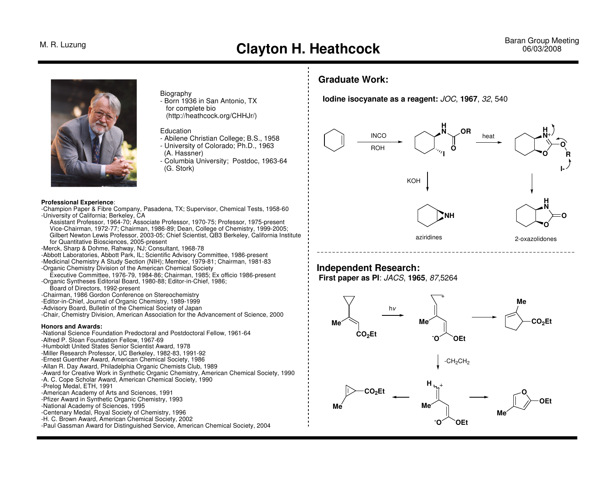

## **Biography**

 - Born 1936 in San Antonio, TX for complete bio(http://heathcock.org/CHHJr/)

## **Education**

- Abilene Christian College; B.S., 1958
- University of Colorado; Ph.D., 1963
- (A. Hassner)
- Columbia University; Postdoc, 1963-64 (G. Stork)

### **Professional Experience**:

 -Champion Paper & Fibre Company, Pasadena, TX; Supervisor, Chemical Tests, 1958-60-University of California; Berkeley, CA

 Assistant Professor, 1964-70; Associate Professor, 1970-75; Professor, 1975-present Vice-Chairman, 1972-77; Chairman, 1986-89; Dean, College of Chemistry, 1999-2005; Gilbert Newton Lewis Professor, 2003-05; Chief Scientist, QB3 Berkeley, California Institutefor Quantitative Biosciences, 2005-present

-Merck, Sharp & Dohme, Rahway, NJ; Consultant, 1968-78

 -Abbott Laboratories, Abbott Park, IL; Scientific Advisory Committee, 1986-present -Medicinal Chemistry A Study Section (NIH); Member, 1979-81; Chairman, 1981-83-Organic Chemistry Division of the American Chemical Society

 Executive Committee, 1976-79, 1984-86; Chairman, 1985; Ex officio 1986-present-Organic Syntheses Editorial Board, 1980-88; Editor-in-Chief, 1986;

Board of Directors, 1992-present

-Chairman, 1986 Gordon Conference on Stereochemistry

-Editor-in-Chief, Journal of Organic Chemistry, 1989-1999

-Advisory Board, Bulletin of the Chemical Society of Japan

-Chair, Chemistry Division, American Association for the Advancement of Science, 2000

### **Honors and Awards:**

 -National Science Foundation Predoctoral and Postdoctoral Fellow, 1961-64-Alfred P. Sloan Foundation Fellow, 1967-69 -Humboldt United States Senior Scientist Award, 1978 -Miller Research Professor, UC Berkeley, 1982-83, 1991-92 -Ernest Guenther Award, American Chemical Society, 1986 -Allan R. Day Award, Philadelphia Organic Chemists Club, 1989 -Award for Creative Work in Synthetic Organic Chemistry, American Chemical Society, 1990-A. C. Cope Scholar Award, American Chemical Society, 1990-Prelog Medal, ETH, 1991 -American Academy of Arts and Sciences, 1991 -Pfizer Award in Synthetic Organic Chemistry, 1993-National Academy of Sciences, 1995 -Centenary Medal, Royal Society of Chemistry, 1996 -H. C. Brown Award, American Chemical Society, 2002-Paul Gassman Award for Distinguished Service, American Chemical Society, 2004

## **Graduate Work:**

 **Iodine isocyanate as a reagent:** JOC, **1967**, 32, 540



## **Independent Research:**

 **First paper as PI**: JACS, **1965**, 87,5264

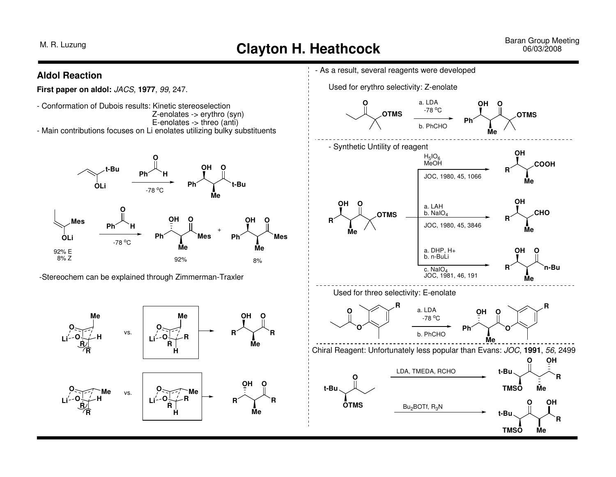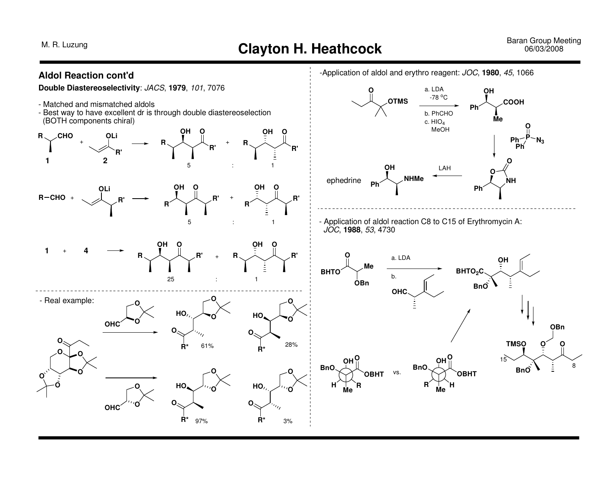# M. R. Luzung **Clayton H. Heathcock** Baran Group Meeting Baran Group Meeting **Clayton H. Heathcock Baran Group Meeting**

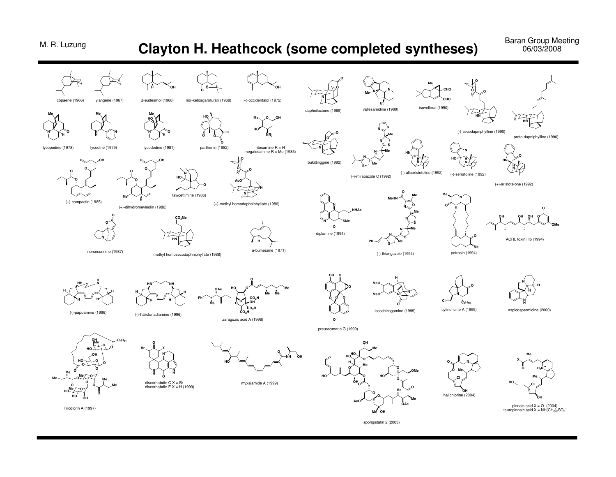## **Clayton H. Heathcock (some completed syntheses)**

**Baran Group Meeting** 06/03/2008



spongistatin 2 (2003)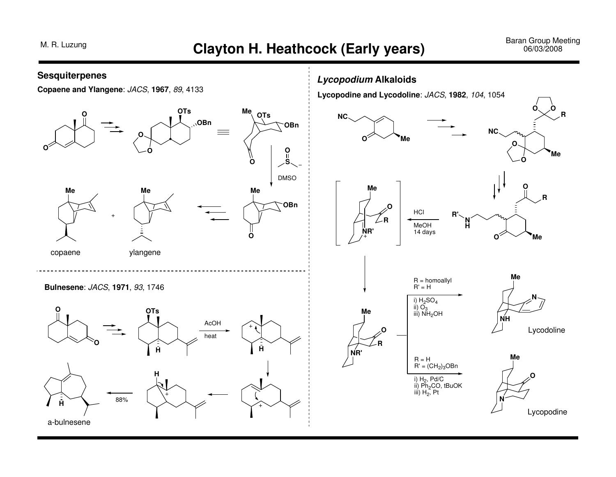## Baran Group Meeting<br>06/03/2008

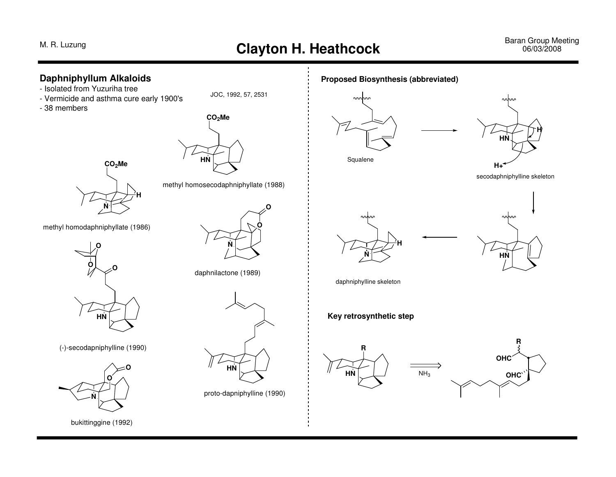# M. R. Luzung **Clayton H. Heathcock** Baran Group Meeting Baran Group Meeting **Clayton H. Heathcock Baran Group Meeting**

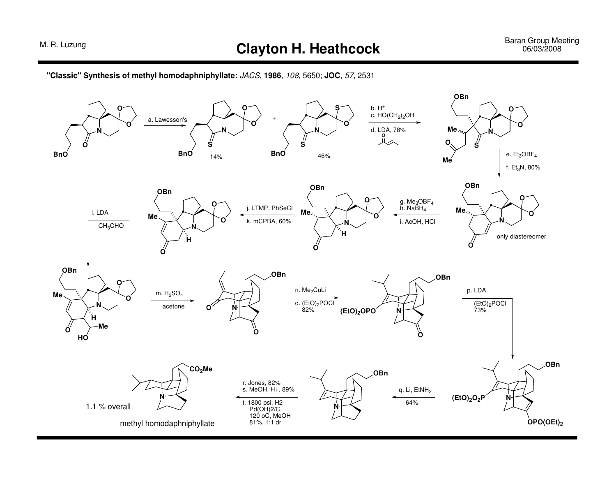**"Classic" Synthesis of methyl homodaphniphyllate:** JACS, **1986**, 108, 5650; **JOC**, 57, <sup>2531</sup>

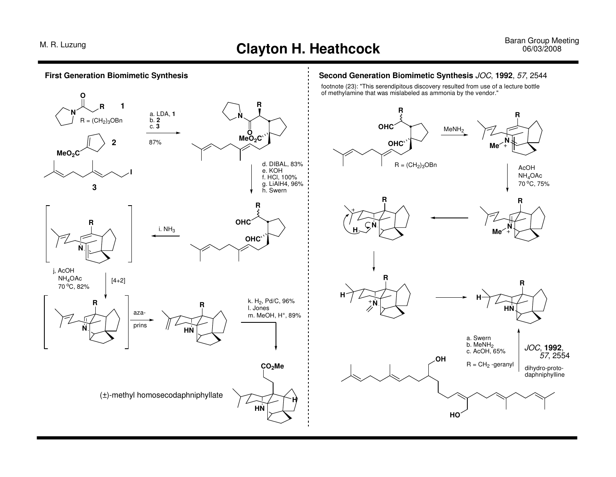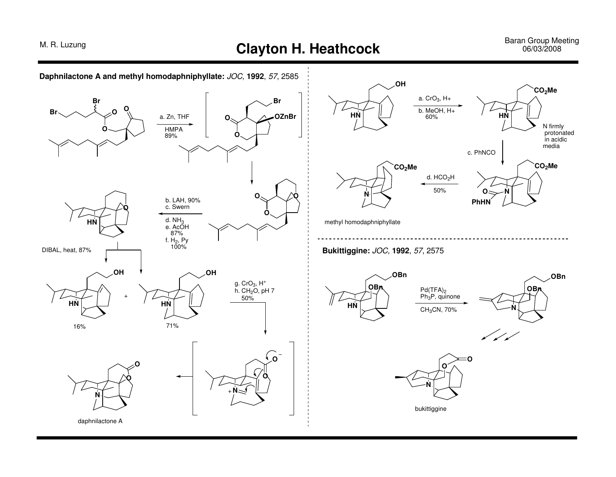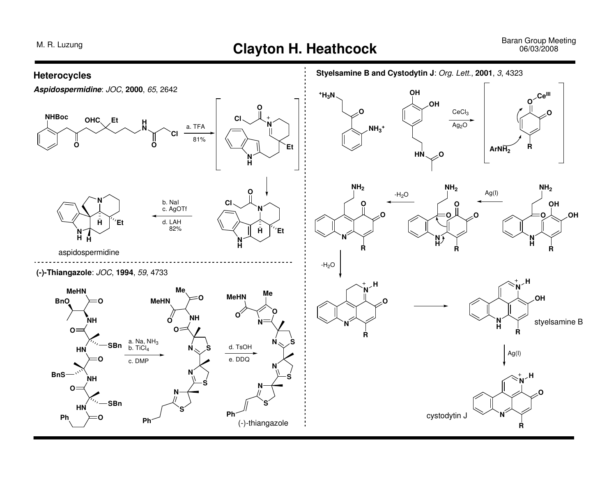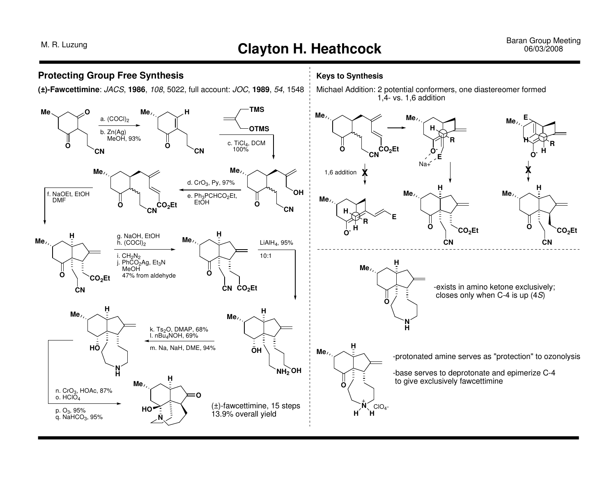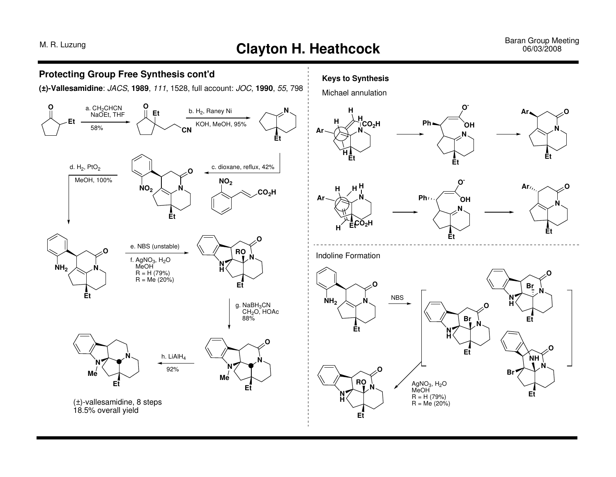